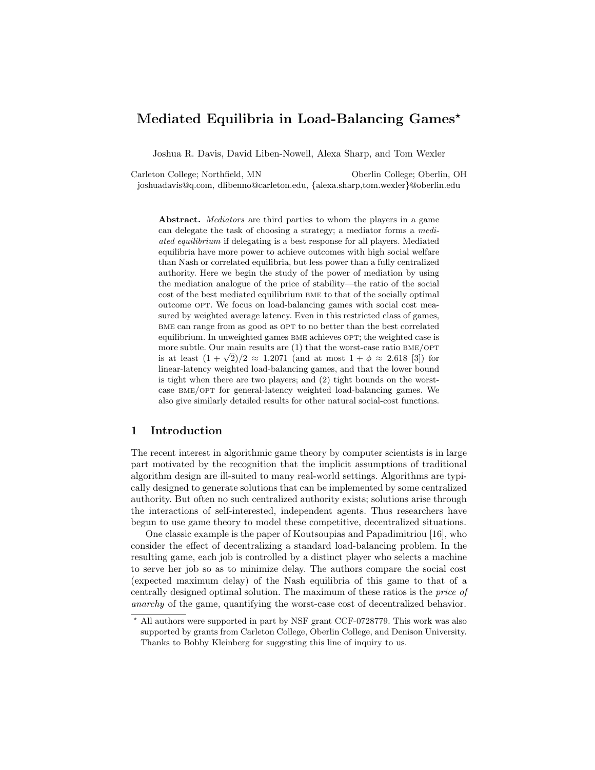# Mediated Equilibria in Load-Balancing Games<sup>\*</sup>

Joshua R. Davis, David Liben-Nowell, Alexa Sharp, and Tom Wexler

Carleton College; Northfield, MN Oberlin College; Oberlin, OH joshuadavis@q.com, dlibenno@carleton.edu, {alexa.sharp,tom.wexler}@oberlin.edu

Abstract. *Mediators* are third parties to whom the players in a game can delegate the task of choosing a strategy; a mediator forms a mediated equilibrium if delegating is a best response for all players. Mediated equilibria have more power to achieve outcomes with high social welfare than Nash or correlated equilibria, but less power than a fully centralized authority. Here we begin the study of the power of mediation by using the mediation analogue of the price of stability—the ratio of the social cost of the best mediated equilibrium bme to that of the socially optimal outcome OPT. We focus on load-balancing games with social cost measured by weighted average latency. Even in this restricted class of games, BME can range from as good as OPT to no better than the best correlated equilibrium. In unweighted games BME achieves OPT; the weighted case is more subtle. Our main results are  $(1)$  that the worst-case ratio BME/OPT is at least  $(1 + \sqrt{2})/2 \approx 1.2071$  (and at most  $1 + \phi \approx 2.618$  [3]) for linear-latency weighted load-balancing games, and that the lower bound is tight when there are two players; and (2) tight bounds on the worstcase bme/opt for general-latency weighted load-balancing games. We also give similarly detailed results for other natural social-cost functions.

# 1 Introduction

The recent interest in algorithmic game theory by computer scientists is in large part motivated by the recognition that the implicit assumptions of traditional algorithm design are ill-suited to many real-world settings. Algorithms are typically designed to generate solutions that can be implemented by some centralized authority. But often no such centralized authority exists; solutions arise through the interactions of self-interested, independent agents. Thus researchers have begun to use game theory to model these competitive, decentralized situations.

One classic example is the paper of Koutsoupias and Papadimitriou [16], who consider the effect of decentralizing a standard load-balancing problem. In the resulting game, each job is controlled by a distinct player who selects a machine to serve her job so as to minimize delay. The authors compare the social cost (expected maximum delay) of the Nash equilibria of this game to that of a centrally designed optimal solution. The maximum of these ratios is the price of anarchy of the game, quantifying the worst-case cost of decentralized behavior.

<sup>?</sup> All authors were supported in part by NSF grant CCF-0728779. This work was also supported by grants from Carleton College, Oberlin College, and Denison University. Thanks to Bobby Kleinberg for suggesting this line of inquiry to us.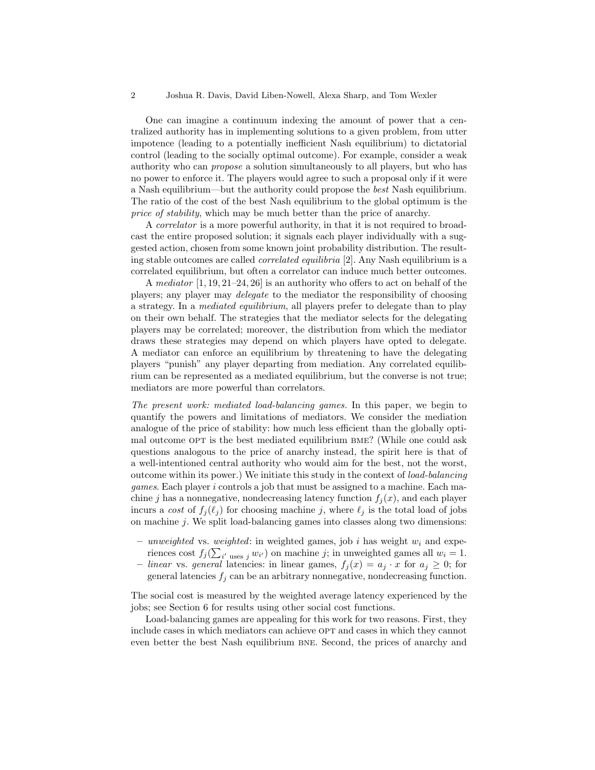One can imagine a continuum indexing the amount of power that a centralized authority has in implementing solutions to a given problem, from utter impotence (leading to a potentially inefficient Nash equilibrium) to dictatorial control (leading to the socially optimal outcome). For example, consider a weak authority who can propose a solution simultaneously to all players, but who has no power to enforce it. The players would agree to such a proposal only if it were a Nash equilibrium—but the authority could propose the best Nash equilibrium. The ratio of the cost of the best Nash equilibrium to the global optimum is the price of stability, which may be much better than the price of anarchy.

A correlator is a more powerful authority, in that it is not required to broadcast the entire proposed solution; it signals each player individually with a suggested action, chosen from some known joint probability distribution. The resulting stable outcomes are called correlated equilibria [2]. Any Nash equilibrium is a correlated equilibrium, but often a correlator can induce much better outcomes.

A mediator [1, 19, 21–24, 26] is an authority who offers to act on behalf of the players; any player may delegate to the mediator the responsibility of choosing a strategy. In a mediated equilibrium, all players prefer to delegate than to play on their own behalf. The strategies that the mediator selects for the delegating players may be correlated; moreover, the distribution from which the mediator draws these strategies may depend on which players have opted to delegate. A mediator can enforce an equilibrium by threatening to have the delegating players "punish" any player departing from mediation. Any correlated equilibrium can be represented as a mediated equilibrium, but the converse is not true; mediators are more powerful than correlators.

The present work: mediated load-balancing games. In this paper, we begin to quantify the powers and limitations of mediators. We consider the mediation analogue of the price of stability: how much less efficient than the globally optimal outcome OPT is the best mediated equilibrium BME? (While one could ask questions analogous to the price of anarchy instead, the spirit here is that of a well-intentioned central authority who would aim for the best, not the worst, outcome within its power.) We initiate this study in the context of load-balancing games. Each player i controls a job that must be assigned to a machine. Each machine j has a nonnegative, nondecreasing latency function  $f_i(x)$ , and each player incurs a cost of  $f_i(\ell_i)$  for choosing machine j, where  $\ell_i$  is the total load of jobs on machine j. We split load-balancing games into classes along two dimensions:

- unweighted vs. weighted: in weighted games, job i has weight  $w_i$  and experiences cost  $f_j(\sum_{i' \text{ uses } j} w_{i'})$  on machine j; in unweighted games all  $w_i = 1$ .
- linear vs. general latencies: in linear games,  $f_j(x) = a_j \cdot x$  for  $a_j \geq 0$ ; for general latencies  $f_i$  can be an arbitrary nonnegative, nondecreasing function.

The social cost is measured by the weighted average latency experienced by the jobs; see Section 6 for results using other social cost functions.

Load-balancing games are appealing for this work for two reasons. First, they include cases in which mediators can achieve OPT and cases in which they cannot even better the best Nash equilibrium bne. Second, the prices of anarchy and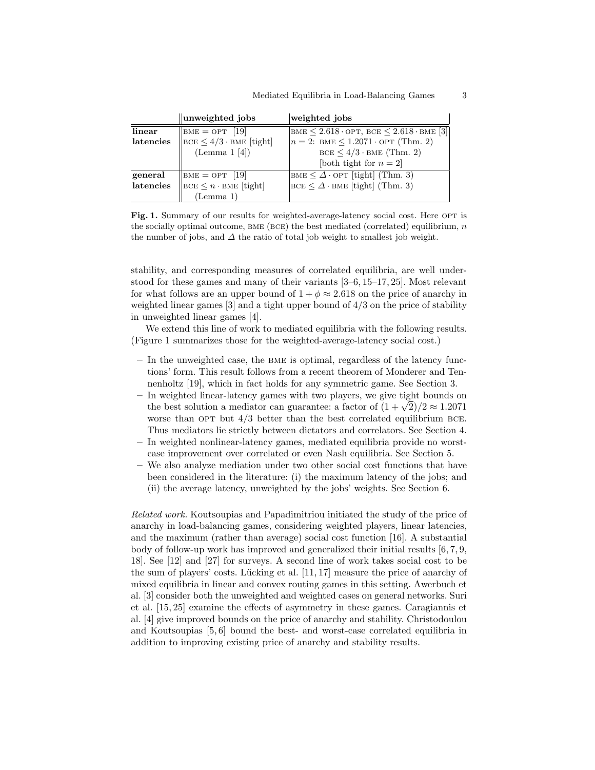|           | unweighted jobs                                                                                                    | weighted jobs                                                             |
|-----------|--------------------------------------------------------------------------------------------------------------------|---------------------------------------------------------------------------|
| linear    | $BME = OPT$ [19]                                                                                                   | BME $\leq 2.618 \cdot \text{OPT}$ , BCE $\leq 2.618 \cdot \text{BME}$ [3] |
| latencies | $\left\vert\left\vert \text{BCE}\leq4/3\cdot\text{BME}\right.\left\vert\left\vert \text{tight}\right\vert \right.$ | $n = 2$ : BME $\leq 1.2071 \cdot \text{OPT (Thm. 2)}$                     |
|           | (Lemma 1 [4])                                                                                                      | $BCE \leq 4/3 \cdot BME$ (Thm. 2)                                         |
|           |                                                                                                                    | [both tight for $n = 2$ ]                                                 |
| general   | $\vert$ BME = OPT [19]                                                                                             | BME $\leq \Delta$ · OPT [tight] (Thm. 3)                                  |
| latencies | $\left \text{BCE} \leq n \cdot \text{BME} \right $ [tight]                                                         | $BCE \leq \Delta \cdot BME$ [tight] (Thm. 3)                              |
|           | (Lemma 1)                                                                                                          |                                                                           |

Fig. 1. Summary of our results for weighted-average-latency social cost. Here OPT is the socially optimal outcome, BME (BCE) the best mediated (correlated) equilibrium,  $n$ the number of jobs, and  $\Delta$  the ratio of total job weight to smallest job weight.

stability, and corresponding measures of correlated equilibria, are well understood for these games and many of their variants [3–6, 15–17, 25]. Most relevant for what follows are an upper bound of  $1 + \phi \approx 2.618$  on the price of anarchy in weighted linear games [3] and a tight upper bound of 4/3 on the price of stability in unweighted linear games [4].

We extend this line of work to mediated equilibria with the following results. (Figure 1 summarizes those for the weighted-average-latency social cost.)

- In the unweighted case, the bme is optimal, regardless of the latency functions' form. This result follows from a recent theorem of Monderer and Tennenholtz [19], which in fact holds for any symmetric game. See Section 3.
- In weighted linear-latency games with two players, we give tight bounds on In weighted linear-latency games with two players, we give tight bounds on the best solution a mediator can guarantee: a factor of  $(1 + \sqrt{2})/2 \approx 1.2071$ worse than  $OPT$  but  $4/3$  better than the best correlated equilibrium BCE. Thus mediators lie strictly between dictators and correlators. See Section 4.
- In weighted nonlinear-latency games, mediated equilibria provide no worstcase improvement over correlated or even Nash equilibria. See Section 5.
- We also analyze mediation under two other social cost functions that have been considered in the literature: (i) the maximum latency of the jobs; and (ii) the average latency, unweighted by the jobs' weights. See Section 6.

Related work. Koutsoupias and Papadimitriou initiated the study of the price of anarchy in load-balancing games, considering weighted players, linear latencies, and the maximum (rather than average) social cost function [16]. A substantial body of follow-up work has improved and generalized their initial results [6, 7, 9, 18]. See [12] and [27] for surveys. A second line of work takes social cost to be the sum of players' costs. Lücking et al.  $[11, 17]$  measure the price of anarchy of mixed equilibria in linear and convex routing games in this setting. Awerbuch et al. [3] consider both the unweighted and weighted cases on general networks. Suri et al. [15, 25] examine the effects of asymmetry in these games. Caragiannis et al. [4] give improved bounds on the price of anarchy and stability. Christodoulou and Koutsoupias [5, 6] bound the best- and worst-case correlated equilibria in addition to improving existing price of anarchy and stability results.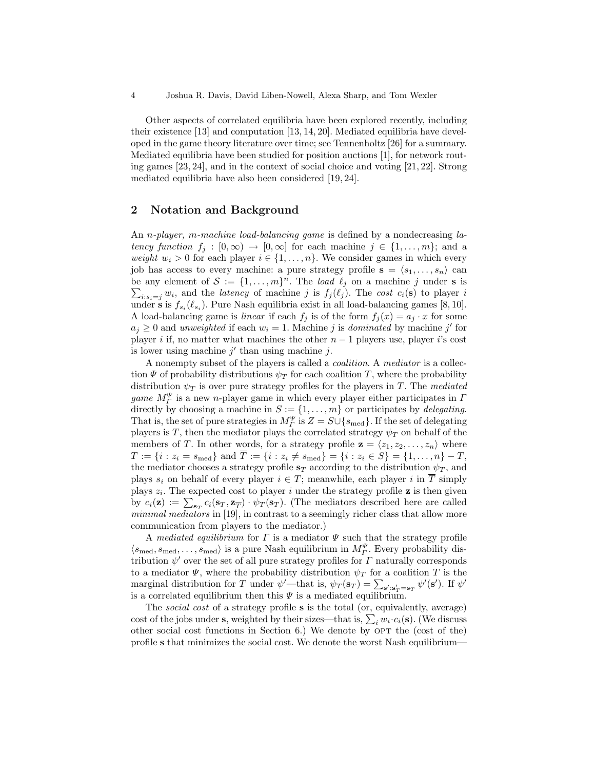4 Joshua R. Davis, David Liben-Nowell, Alexa Sharp, and Tom Wexler

Other aspects of correlated equilibria have been explored recently, including their existence [13] and computation [13, 14, 20]. Mediated equilibria have developed in the game theory literature over time; see Tennenholtz [26] for a summary. Mediated equilibria have been studied for position auctions [1], for network routing games [23, 24], and in the context of social choice and voting [21, 22]. Strong mediated equilibria have also been considered [19, 24].

# 2 Notation and Background

An *n-player*, *m-machine load-balancing game* is defined by a nondecreasing *la*tency function  $f_i : [0, \infty) \to [0, \infty]$  for each machine  $j \in \{1, ..., m\}$ ; and a weight  $w_i > 0$  for each player  $i \in \{1, \ldots, n\}$ . We consider games in which every job has access to every machine: a pure strategy profile  $\mathbf{s} = \langle s_1, \ldots, s_n \rangle$  can be any element of  $S := \{1, \ldots, m\}^n$ . The load  $\ell_j$  on a machine j under s is  $\sum_{i:s_i=j} w_i$ , and the *latency* of machine j is  $f_j(\ell_j)$ . The cost  $c_i(\mathbf{s})$  to player i under **s** is  $f_{s_i}(\ell_{s_i})$ . Pure Nash equilibria exist in all load-balancing games [8, 10]. A load-balancing game is *linear* if each  $f_j$  is of the form  $f_j(x) = a_j \cdot x$  for some  $a_j \geq 0$  and unweighted if each  $w_i = 1$ . Machine j is dominated by machine j' for player *i* if, no matter what machines the other  $n - 1$  players use, player *i*'s cost is lower using machine  $j'$  than using machine  $j$ .

A nonempty subset of the players is called a coalition. A mediator is a collection  $\Psi$  of probability distributions  $\psi_T$  for each coalition T, where the probability distribution  $\psi_T$  is over pure strategy profiles for the players in T. The mediated *game*  $M^{\Psi}_{\Gamma}$  is a new *n*-player game in which every player either participates in  $\Gamma$ directly by choosing a machine in  $S := \{1, \ldots, m\}$  or participates by *delegating*. That is, the set of pure strategies in  $M_{\Gamma}^{\Psi}$  is  $Z = S \cup \{s_{\text{med}}\}$ . If the set of delegating players is T, then the mediator plays the correlated strategy  $\psi_T$  on behalf of the members of T. In other words, for a strategy profile  $\mathbf{z} = \langle z_1, z_2, \ldots, z_n \rangle$  where  $T := \{i : z_i = s_{\text{med}}\}$  and  $\overline{T} := \{i : z_i \neq s_{\text{med}}\} = \{i : z_i \in S\} = \{1, \dots, n\} - T$ , the mediator chooses a strategy profile  $s_T$  according to the distribution  $\psi_T$ , and plays  $s_i$  on behalf of every player  $i \in T$ ; meanwhile, each player i in  $\overline{T}$  simply plays  $z_i$ . The expected cost to player i under the strategy profile **z** is then given by  $c_i(\mathbf{z}) := \sum_{\mathbf{s}_T} c_i(\mathbf{s}_T, \mathbf{z}_{\overline{T}}) \cdot \psi_T(\mathbf{s}_T)$ . (The mediators described here are called minimal mediators in [19], in contrast to a seemingly richer class that allow more communication from players to the mediator.)

A mediated equilibrium for  $\Gamma$  is a mediator  $\Psi$  such that the strategy profile  $\langle s_{\text{med}}, s_{\text{med}}, \dots, s_{\text{med}} \rangle$  is a pure Nash equilibrium in  $M^{\Psi}_\Gamma$ . Every probability distribution  $\psi'$  over the set of all pure strategy profiles for  $\Gamma$  naturally corresponds to a mediator  $\Psi$ , where the probability distribution  $\psi_T$  for a coalition T is the marginal distribution for T under  $\psi'$  that is,  $\psi_T(\mathbf{s}_T) = \sum_{\mathbf{s}' : \mathbf{s}'_T = \mathbf{s}_T} \psi'(\mathbf{s}')$ . If  $\psi'$ is a correlated equilibrium then this  $\Psi$  is a mediated equilibrium.

The social cost of a strategy profile s is the total (or, equivalently, average) cost of the jobs under s, weighted by their sizes—that is,  $\sum_i w_i \cdot c_i(\mathbf{s})$ . (We discuss other social cost functions in Section 6.) We denote by  $OPT$  the (cost of the) profile s that minimizes the social cost. We denote the worst Nash equilibrium—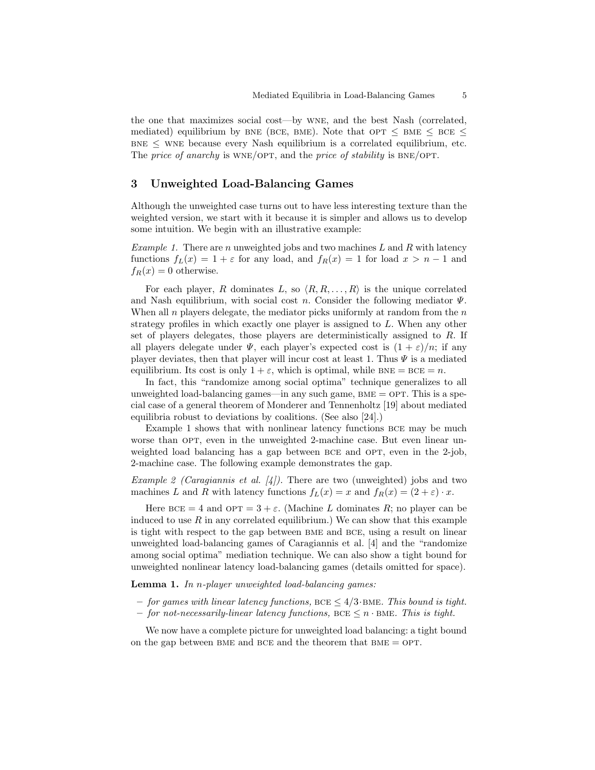the one that maximizes social cost—by wne, and the best Nash (correlated, mediated) equilibrium by BNE (BCE, BME). Note that  $\text{OPT} \leq \text{BME} \leq \text{BCE} \leq$  $BNE \leq WNE$  because every Nash equilibrium is a correlated equilibrium, etc. The price of anarchy is  $WNE/OPT$ , and the price of stability is  $BNE/OPT$ .

# 3 Unweighted Load-Balancing Games

Although the unweighted case turns out to have less interesting texture than the weighted version, we start with it because it is simpler and allows us to develop some intuition. We begin with an illustrative example:

*Example 1.* There are n unweighted jobs and two machines L and R with latency functions  $f_L(x) = 1 + \varepsilon$  for any load, and  $f_R(x) = 1$  for load  $x > n - 1$  and  $f_R(x) = 0$  otherwise.

For each player, R dominates L, so  $\langle R, R, \ldots, R \rangle$  is the unique correlated and Nash equilibrium, with social cost n. Consider the following mediator  $\Psi$ . When all n players delegate, the mediator picks uniformly at random from the  $n$ strategy profiles in which exactly one player is assigned to L. When any other set of players delegates, those players are deterministically assigned to R. If all players delegate under  $\Psi$ , each player's expected cost is  $(1 + \varepsilon)/n$ ; if any player deviates, then that player will incur cost at least 1. Thus  $\Psi$  is a mediated equilibrium. Its cost is only  $1 + \varepsilon$ , which is optimal, while BNE = BCE = n.

In fact, this "randomize among social optima" technique generalizes to all unweighted load-balancing games—in any such game,  $BME = OPT$ . This is a special case of a general theorem of Monderer and Tennenholtz [19] about mediated equilibria robust to deviations by coalitions. (See also [24].)

Example 1 shows that with nonlinear latency functions BCE may be much worse than OPT, even in the unweighted 2-machine case. But even linear unweighted load balancing has a gap between BCE and OPT, even in the 2-job, 2-machine case. The following example demonstrates the gap.

Example 2 (Caragiannis et al.  $[4]$ ). There are two (unweighted) jobs and two machines L and R with latency functions  $f_L(x) = x$  and  $f_R(x) = (2 + \varepsilon) \cdot x$ .

Here  $BCE = 4$  and  $OPT = 3 + \varepsilon$ . (Machine L dominates R; no player can be induced to use  $R$  in any correlated equilibrium.) We can show that this example is tight with respect to the gap between bme and bce, using a result on linear unweighted load-balancing games of Caragiannis et al. [4] and the "randomize among social optima" mediation technique. We can also show a tight bound for unweighted nonlinear latency load-balancing games (details omitted for space).

Lemma 1. In n-player unweighted load-balancing games:

- for games with linear latency functions, BCE  $\leq 4/3$  BME. This bound is tight.
- $-$  for not-necessarily-linear latency functions, BCE  $\leq n \cdot$ BME. This is tight.

We now have a complete picture for unweighted load balancing: a tight bound on the gap between BME and BCE and the theorem that  $BME = OPT$ .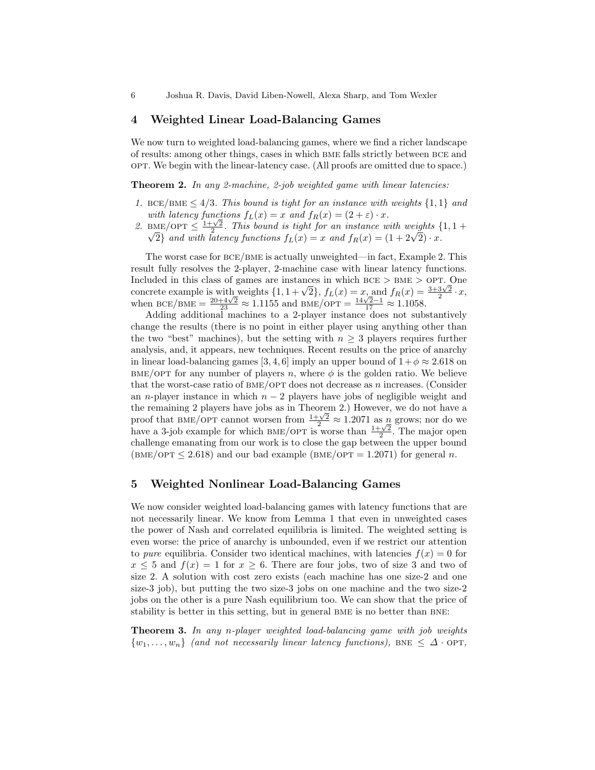#### 4 Weighted Linear Load-Balancing Games

We now turn to weighted load-balancing games, where we find a richer landscape of results: among other things, cases in which bme falls strictly between bce and opt. We begin with the linear-latency case. (All proofs are omitted due to space.)

Theorem 2. In any 2-machine, 2-job weighted game with linear latencies:

- 1. BCE/BME  $\leq 4/3$ . This bound is tight for an instance with weights  $\{1,1\}$  and with latency functions  $f_L(x) = x$  and  $f_R(x) = (2 + \varepsilon) \cdot x$ .
- with latency functions  $f_L(x) = x$  and  $f_R(x) = (2 + \varepsilon) \cdot x$ .<br>
2. BME/OPT  $\leq \frac{1+\sqrt{2}}{2}$ . This bound is tight for an instance with weights  $\{1, 1 + \sqrt{2}\}$  and with latency functions  $f_L(x) = x$  and  $f_R(x) = (1 + 2\sqrt{2}) \cdot x$ .

The worst case for bce/bme is actually unweighted—in fact, Example 2. This result fully resolves the 2-player, 2-machine case with linear latency functions. Included in this class of games are instances in which  $BCE > BME > OPT$ . One included in this class of games are instances in which BCE > BME > OPT. One<br>concrete example is with weights  $\{1, 1 + \sqrt{2}\}, f_L(x) = x$ , and  $f_R(x) = \frac{3+3\sqrt{2}}{2} \cdot x$ , concrete example is with weights  $\{1, 1 + \sqrt{2}\}, J_L(x) = x$ , and  $J_R(x) = x$ <br>when BCE/BME =  $\frac{20+4\sqrt{2}}{23} \approx 1.1155$  and BME/OPT =  $\frac{14\sqrt{2}-1}{17} \approx 1.1058$ .

Adding additional machines to a 2-player instance does not substantively change the results (there is no point in either player using anything other than the two "best" machines), but the setting with  $n \geq 3$  players requires further analysis, and, it appears, new techniques. Recent results on the price of anarchy in linear load-balancing games [3, 4, 6] imply an upper bound of  $1+\phi \approx 2.618$  on  $BME/OPT$  for any number of players n, where  $\phi$  is the golden ratio. We believe that the worst-case ratio of  $BME/OPT$  does not decrease as n increases. (Consider an n-player instance in which  $n - 2$  players have jobs of negligible weight and the remaining 2 players have jobs as in Theorem 2.) However, we do not have a the remaining 2 players have jobs as in Theorem 2.) However, we do not have a proof that BME/OPT cannot worsen from  $\frac{1+\sqrt{2}}{2} \approx 1.2071$  as n grows; nor do we have a 3-job example for which BME/OPT is worse than  $\frac{1+\$ challenge emanating from our work is to close the gap between the upper bound  $(BME/OPT \le 2.618)$  and our bad example  $(BME/OPT = 1.2071)$  for general n.

#### 5 Weighted Nonlinear Load-Balancing Games

We now consider weighted load-balancing games with latency functions that are not necessarily linear. We know from Lemma 1 that even in unweighted cases the power of Nash and correlated equilibria is limited. The weighted setting is even worse: the price of anarchy is unbounded, even if we restrict our attention to pure equilibria. Consider two identical machines, with latencies  $f(x) = 0$  for  $x \leq 5$  and  $f(x) = 1$  for  $x \geq 6$ . There are four jobs, two of size 3 and two of size 2. A solution with cost zero exists (each machine has one size-2 and one size-3 job), but putting the two size-3 jobs on one machine and the two size-2 jobs on the other is a pure Nash equilibrium too. We can show that the price of stability is better in this setting, but in general BME is no better than BNE:

Theorem 3. In any n-player weighted load-balancing game with job weights  $\{w_1, \ldots, w_n\}$  (and not necessarily linear latency functions), BNE  $\leq \Delta \cdot \text{OPT}$ ,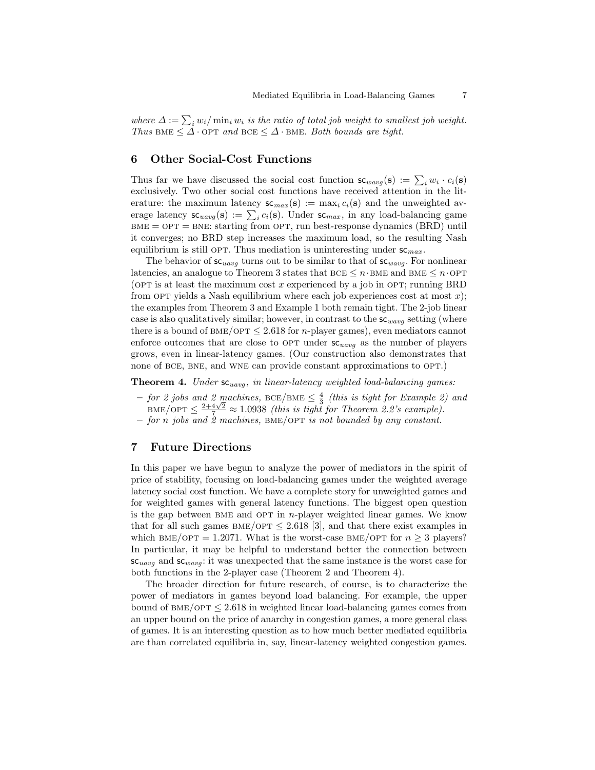where  $\Delta := \sum_i w_i / \min_i w_i$  is the ratio of total job weight to smallest job weight. Thus BME  $\leq \Delta \cdot \text{OPT}$  and BCE  $\leq \Delta \cdot$  BME. Both bounds are tight.

#### 6 Other Social-Cost Functions

Thus far we have discussed the social cost function  $\mathsf{sc}_{wavg}(\mathbf{s}) := \sum_i w_i \cdot c_i(\mathbf{s})$ exclusively. Two other social cost functions have received attention in the literature: the maximum latency  $\mathsf{sc}_{max}(\mathbf{s}) := \max_i c_i(\mathbf{s})$  and the unweighted average latency  $\mathsf{sc}_{uavg}(\mathbf{s}) := \sum_i c_i(\mathbf{s})$ . Under  $\mathsf{sc}_{max}$ , in any load-balancing game  $BME = OPT = BNE$ : starting from OPT, run best-response dynamics (BRD) until it converges; no BRD step increases the maximum load, so the resulting Nash equilibrium is still OPT. Thus mediation is uninteresting under  $sc_{max}$ .

The behavior of  $sc_{uavg}$  turns out to be similar to that of  $sc_{wavg}$ . For nonlinear latencies, an analogue to Theorem 3 states that  $BCE \leq n \cdot BME$  and  $BME \leq n \cdot OPT$ (OPT is at least the maximum cost x experienced by a job in OPT; running BRD from OPT yields a Nash equilibrium where each job experiences cost at most  $x$ ); the examples from Theorem 3 and Example 1 both remain tight. The 2-job linear case is also qualitatively similar; however, in contrast to the  $sc_{wayq}$  setting (where there is a bound of BME/OPT  $\leq 2.618$  for *n*-player games), even mediators cannot enforce outcomes that are close to OPT under  $sc_{uavg}$  as the number of players grows, even in linear-latency games. (Our construction also demonstrates that none of bce, bne, and wne can provide constant approximations to opt.)

**Theorem 4.** Under  $sc_{uawa}$ , in linear-latency weighted load-balancing games:

- $-$  for 2 jobs and 2 machines, BCE/BME  $\leq \frac{4}{3}$  (this is tight for Example 2) and  $\lim_{\Delta t \to 0} \frac{2+4\sqrt{2}}{7} \approx 1.0938$  (this is tight for Theorem 2.2's example).
- for n jobs and  $\dot{z}$  machines, BME/OPT is not bounded by any constant.

#### 7 Future Directions

In this paper we have begun to analyze the power of mediators in the spirit of price of stability, focusing on load-balancing games under the weighted average latency social cost function. We have a complete story for unweighted games and for weighted games with general latency functions. The biggest open question is the gap between BME and OPT in  $n$ -player weighted linear games. We know that for all such games  $BME/OPT \leq 2.618$  [3], and that there exist examples in which BME/OPT = 1.2071. What is the worst-case BME/OPT for  $n \geq 3$  players? In particular, it may be helpful to understand better the connection between  $sc_{uavg}$  and  $sc_{wavg}$ : it was unexpected that the same instance is the worst case for both functions in the 2-player case (Theorem 2 and Theorem 4).

The broader direction for future research, of course, is to characterize the power of mediators in games beyond load balancing. For example, the upper bound of  $BME/OPT \leq 2.618$  in weighted linear load-balancing games comes from an upper bound on the price of anarchy in congestion games, a more general class of games. It is an interesting question as to how much better mediated equilibria are than correlated equilibria in, say, linear-latency weighted congestion games.